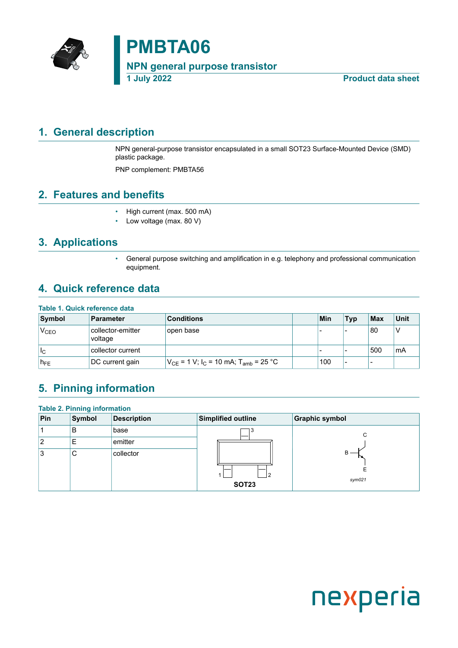

# **PMBTA06**

**NPN general purpose transistor**

**Product data sheet** 

### <span id="page-0-0"></span>**1. General description**

NPN general-purpose transistor encapsulated in a small SOT23 Surface-Mounted Device (SMD) plastic package.

PNP complement: PMBTA56

### <span id="page-0-1"></span>**2. Features and benefits**

- High current (max. 500 mA)
- Low voltage (max. 80 V)

### <span id="page-0-2"></span>**3. Applications**

• General purpose switching and amplification in e.g. telephony and professional communication equipment.

### <span id="page-0-3"></span>**4. Quick reference data**

| Table 1. Quick reference data |                              |                                                         |  |     |                          |         |             |
|-------------------------------|------------------------------|---------------------------------------------------------|--|-----|--------------------------|---------|-------------|
| Symbol                        | Parameter                    | <b>Conditions</b>                                       |  | Min | <b>Typ</b>               | $ $ Max | <b>Unit</b> |
| V <sub>CEO</sub>              | collector-emitter<br>voltage | open base                                               |  |     |                          | 80      |             |
| $\mathsf{I}_\mathsf{C}$       | collector current            |                                                         |  |     |                          | 500     | ˈmA         |
| $h_{FE}$                      | DC current gain              | $V_{CF}$ = 1 V; $I_C$ = 10 mA; T <sub>amb</sub> = 25 °C |  | 100 | $\overline{\phantom{a}}$ |         |             |

# <span id="page-0-4"></span>**5. Pinning information**

| <b>Table 2. Pinning information</b> |        |                    |                    |                       |  |  |  |  |
|-------------------------------------|--------|--------------------|--------------------|-----------------------|--|--|--|--|
| Pin                                 | Symbol | <b>Description</b> | Simplified outline | <b>Graphic symbol</b> |  |  |  |  |
|                                     | B      | base               | - 3                | С                     |  |  |  |  |
| 2                                   | Е      | emitter            |                    |                       |  |  |  |  |
| Ι3                                  | C      | collector          |                    | В                     |  |  |  |  |
|                                     |        |                    |                    |                       |  |  |  |  |
|                                     |        |                    | ر ا                |                       |  |  |  |  |
|                                     |        |                    | <b>SOT23</b>       | sym021                |  |  |  |  |
|                                     |        |                    |                    |                       |  |  |  |  |

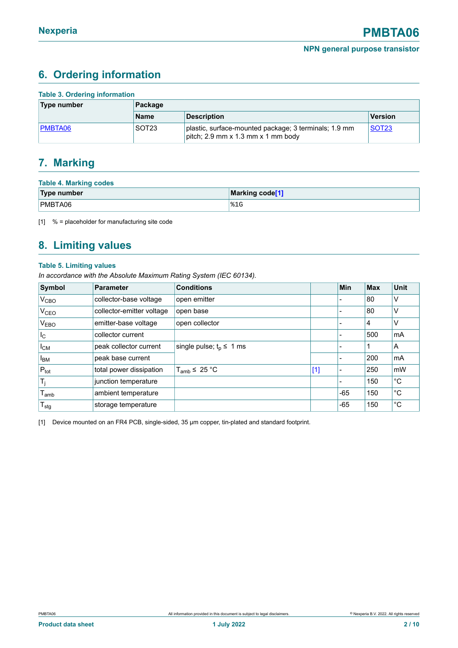### <span id="page-1-1"></span><span id="page-1-0"></span>**6. Ordering information**

| <b>Table 3. Ordering information</b> |             |                                                                                             |                |  |  |  |
|--------------------------------------|-------------|---------------------------------------------------------------------------------------------|----------------|--|--|--|
| Type number                          | Package     |                                                                                             |                |  |  |  |
|                                      | <b>Name</b> | <b>Description</b>                                                                          | <b>Version</b> |  |  |  |
| <b>PMBTA06</b>                       | SOT23       | plastic, surface-mounted package; 3 terminals; 1.9 mm<br>pitch; 2.9 mm x 1.3 mm x 1 mm body | SOT23          |  |  |  |

### <span id="page-1-2"></span>**7. Marking**

| <b>Table 4. Marking codes</b> |                 |  |  |  |  |
|-------------------------------|-----------------|--|--|--|--|
| Type number                   | Marking code[1] |  |  |  |  |
| PMBTA06                       | 81G             |  |  |  |  |

[1] % = placeholder for manufacturing site code

### <span id="page-1-3"></span>**8. Limiting values**

#### **Table 5. Limiting values**

*In accordance with the Absolute Maximum Rating System (IEC 60134).*

| Symbol                      | <b>Parameter</b>          | <b>Conditions</b>             |       | Min   | <b>Max</b> | Unit        |
|-----------------------------|---------------------------|-------------------------------|-------|-------|------------|-------------|
| V <sub>CBO</sub>            | collector-base voltage    | open emitter                  |       |       | 80         | ν           |
| V <sub>CEO</sub>            | collector-emitter voltage | open base                     |       |       | 80         | ٧           |
| V <sub>EBO</sub>            | emitter-base voltage      | open collector                |       |       | 4          | V           |
| $ I_{\rm C} $               | collector current         |                               |       |       | 500        | mA          |
| $I_{CM}$                    | peak collector current    | single pulse; $t_p \leq 1$ ms |       |       |            | ΙA          |
| $I_{BM}$                    | peak base current         |                               |       |       | 200        | mA          |
| $P_{\text{tot}}$            | total power dissipation   | $T_{amb}$ $\leq$ 25 °C        | $[1]$ |       | 250        | mW          |
| $T_i$                       | junction temperature      |                               |       |       | 150        | °С          |
| $\mathsf{T}_{\mathsf{amb}}$ | ambient temperature       |                               |       | $-65$ | 150        | $^{\circ}C$ |
| $T_{\text{stg}}$            | storage temperature       |                               |       | $-65$ | 150        | °C          |

[1] Device mounted on an FR4 PCB, single-sided, 35 μm copper, tin-plated and standard footprint.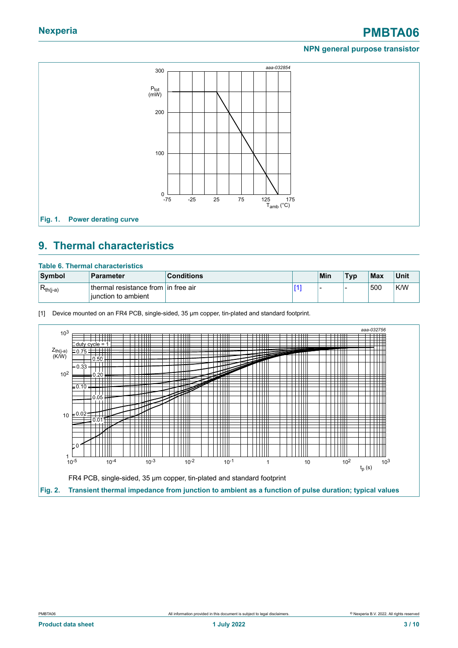# **Nexperia PMBTA06**

### **NPN general purpose transistor**

<span id="page-2-0"></span>

### <span id="page-2-1"></span>**9. Thermal characteristics**

| <b>Table 6. Thermal characteristics</b> |                                                             |                   |  |     |      |     |             |
|-----------------------------------------|-------------------------------------------------------------|-------------------|--|-----|------|-----|-------------|
| Symbol                                  | <b>Parameter</b>                                            | <b>Conditions</b> |  | Min | 'Tvp | Max | <b>Unit</b> |
| $R_{th(j-a)}$                           | thermal resistance from in free air<br>liunction to ambient |                   |  |     |      | 500 | K/W         |

[1] Device mounted on an FR4 PCB, single-sided, 35 μm copper, tin-plated and standard footprint.

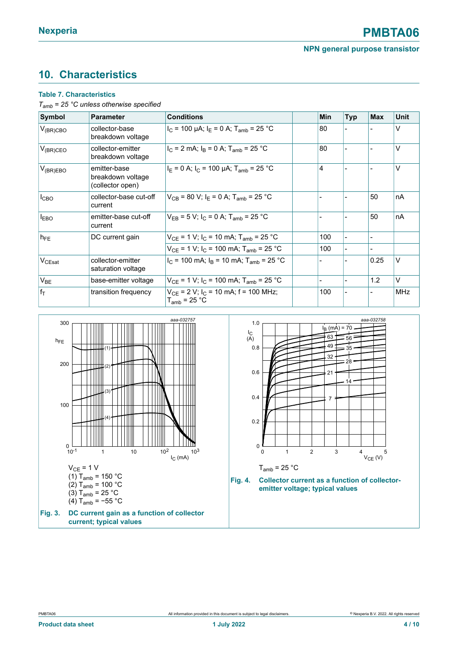### <span id="page-3-0"></span>**10. Characteristics**

### **Table 7. Characteristics**

*Tamb = 25 °C unless otherwise specified*

| Symbol                    | <b>Parameter</b>                                      | <b>Conditions</b>                                                 |   | Min | Typ            | Max  | <b>Unit</b> |
|---------------------------|-------------------------------------------------------|-------------------------------------------------------------------|---|-----|----------------|------|-------------|
| $V_{(BR)CBO}$             | collector-base<br>breakdown voltage                   | $I_C$ = 100 µA; $I_F$ = 0 A; $T_{amb}$ = 25 °C                    |   | 80  |                |      | V           |
| $V_{(BR)CEO}$             | collector-emitter<br>breakdown voltage                | $I_C = 2$ mA: $I_B = 0$ A: $T_{amb} = 25$ °C                      |   | 80  | $\blacksquare$ |      | V           |
| $V_{(BR)EBO}$             | emitter-base<br>breakdown voltage<br>(collector open) | $I_F = 0$ A; $I_C = 100$ µA; T <sub>amb</sub> = 25 °C             | 4 |     |                |      | $\vee$      |
| $I_{CBO}$                 | collector-base cut-off<br>current                     | $V_{CB}$ = 80 V; $I_F$ = 0 A; $T_{amb}$ = 25 °C                   |   |     |                | 50   | nA          |
| $I_{EBO}$                 | emitter-base cut-off<br>current                       | $V_{FB}$ = 5 V; I <sub>C</sub> = 0 A; T <sub>amb</sub> = 25 °C    |   |     |                | 50   | nA          |
| $h_{FE}$                  | DC current gain                                       | $V_{CF}$ = 1 V; $I_C$ = 10 mA; $T_{amb}$ = 25 °C                  |   | 100 | $\blacksquare$ |      |             |
|                           |                                                       | $V_{CF}$ = 1 V; $I_C$ = 100 mA; T <sub>amb</sub> = 25 °C          |   | 100 |                |      |             |
| $ V_{C\small{\sf{Esat}}}$ | collector-emitter<br>saturation voltage               | $I_C$ = 100 mA; $I_B$ = 10 mA; $T_{amb}$ = 25 °C                  |   |     |                | 0.25 | $\vee$      |
| <b>V<sub>BE</sub></b>     | base-emitter voltage                                  | $V_{CE}$ = 1 V; I <sub>C</sub> = 100 mA; T <sub>amb</sub> = 25 °C |   |     |                | 1.2  | $\vee$      |
| $f_T$                     | transition frequency                                  | $V_{CF}$ = 2 V; $I_C$ = 10 mA; f = 100 MHz;<br>$T_{amb}$ = 25 °C  |   | 100 |                |      | <b>MHz</b>  |







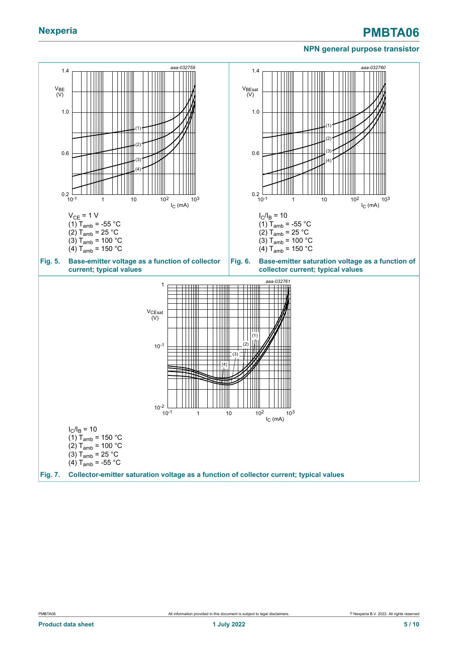# **Nexperia PMBTA06**

### **NPN general purpose transistor**

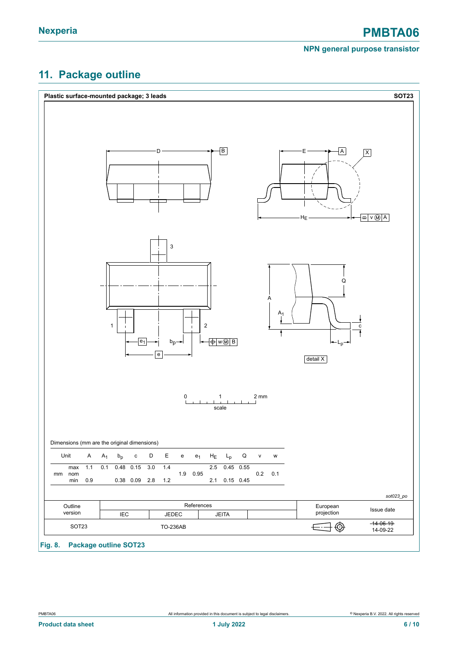### <span id="page-5-0"></span>**11. Package outline**

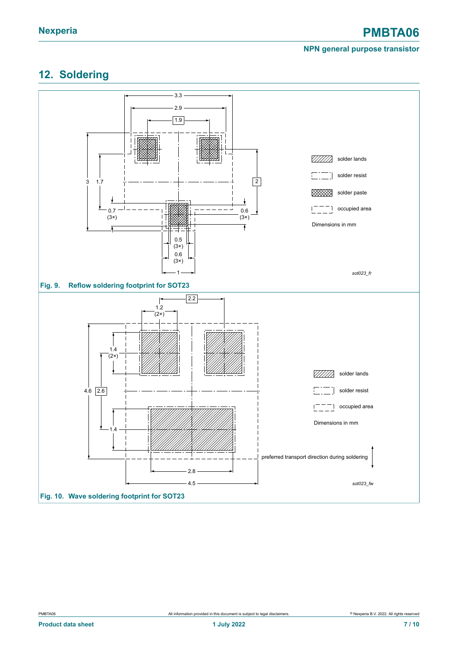### **NPN general purpose transistor**

# <span id="page-6-0"></span>**12. Soldering**

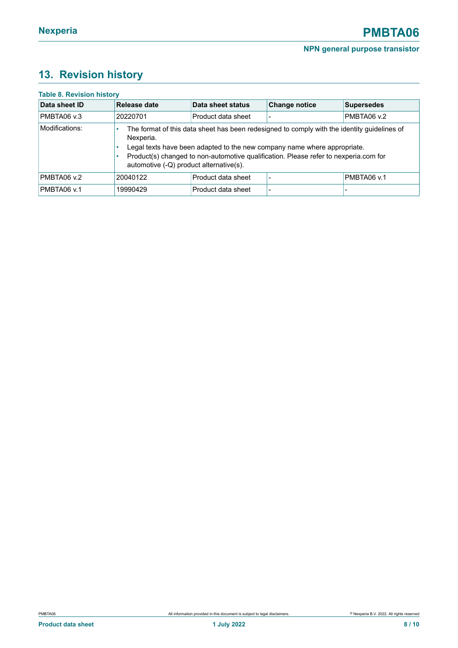# <span id="page-7-0"></span>**13. Revision history**

| <b>Table 8. Revision history</b> |              |                                                                                                                                                                                                                                                                                                            |                      |                   |  |  |  |  |
|----------------------------------|--------------|------------------------------------------------------------------------------------------------------------------------------------------------------------------------------------------------------------------------------------------------------------------------------------------------------------|----------------------|-------------------|--|--|--|--|
| Data sheet ID                    | Release date | Data sheet status                                                                                                                                                                                                                                                                                          | <b>Change notice</b> | <b>Supersedes</b> |  |  |  |  |
| PMBTA06 v.3                      | 20220701     | Product data sheet                                                                                                                                                                                                                                                                                         | ۳                    | PMBTA06 v.2       |  |  |  |  |
| Modifications:                   | Nexperia.    | The format of this data sheet has been redesigned to comply with the identity guidelines of<br>Legal texts have been adapted to the new company name where appropriate.<br>Product(s) changed to non-automotive qualification. Please refer to nexperia.com for<br>automotive (-Q) product alternative(s). |                      |                   |  |  |  |  |
| PMBTA06 v.2                      | 20040122     | Product data sheet                                                                                                                                                                                                                                                                                         | Ξ.                   | PMBTA06 v.1       |  |  |  |  |
| PMBTA06 v.1                      | 19990429     | Product data sheet                                                                                                                                                                                                                                                                                         | ۰                    |                   |  |  |  |  |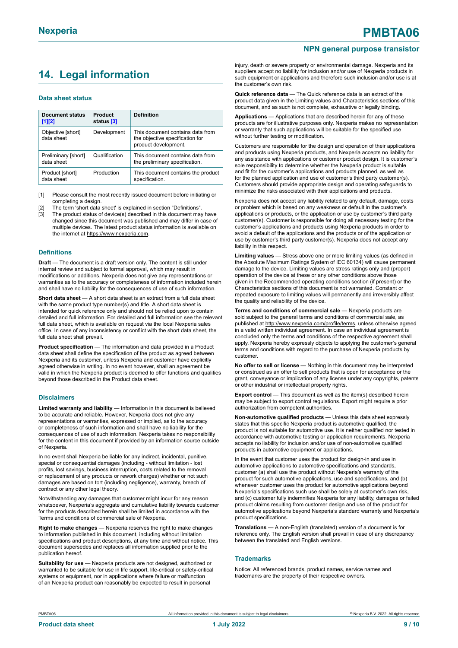# <span id="page-8-0"></span>**14. Legal information**

#### **Data sheet status**

| <b>Document status</b><br>$[1]$ [2] | Product<br>status [3] | <b>Definition</b>                                                                           |
|-------------------------------------|-----------------------|---------------------------------------------------------------------------------------------|
| Objective [short]<br>data sheet     | Development           | This document contains data from<br>the objective specification for<br>product development. |
| Preliminary [short]<br>data sheet   | Qualification         | This document contains data from<br>the preliminary specification.                          |
| Product [short]<br>data sheet       | Production            | This document contains the product<br>specification.                                        |

[1] Please consult the most recently issued document before initiating or completing a design.

The term 'short data sheet' is explained in section "Definitions".

[3] The product status of device(s) described in this document may have changed since this document was published and may differ in case of multiple devices. The latest product status information is available on the internet at [https://www.nexperia.com.](https://www.nexperia.com)

#### **Definitions**

**Draft** — The document is a draft version only. The content is still under internal review and subject to formal approval, which may result in modifications or additions. Nexperia does not give any representations or warranties as to the accuracy or completeness of information included herein and shall have no liability for the consequences of use of such information.

**Short data sheet** — A short data sheet is an extract from a full data sheet with the same product type number(s) and title. A short data sheet is intended for quick reference only and should not be relied upon to contain detailed and full information. For detailed and full information see the relevant full data sheet, which is available on request via the local Nexperia sales office. In case of any inconsistency or conflict with the short data sheet, the full data sheet shall prevail.

**Product specification** — The information and data provided in a Product data sheet shall define the specification of the product as agreed between Nexperia and its customer, unless Nexperia and customer have explicitly agreed otherwise in writing. In no event however, shall an agreement be valid in which the Nexperia product is deemed to offer functions and qualities beyond those described in the Product data sheet.

#### **Disclaimers**

**Limited warranty and liability** — Information in this document is believed to be accurate and reliable. However, Nexperia does not give any representations or warranties, expressed or implied, as to the accuracy or completeness of such information and shall have no liability for the consequences of use of such information. Nexperia takes no responsibility for the content in this document if provided by an information source outside of Nexperia.

In no event shall Nexperia be liable for any indirect, incidental, punitive, special or consequential damages (including - without limitation - lost profits, lost savings, business interruption, costs related to the removal or replacement of any products or rework charges) whether or not such damages are based on tort (including negligence), warranty, breach of contract or any other legal theory.

Notwithstanding any damages that customer might incur for any reason whatsoever, Nexperia's aggregate and cumulative liability towards customer for the products described herein shall be limited in accordance with the Terms and conditions of commercial sale of Nexperia.

**Right to make changes** — Nexperia reserves the right to make changes to information published in this document, including without limitation specifications and product descriptions, at any time and without notice. This document supersedes and replaces all information supplied prior to the publication hereof.

**Suitability for use** — Nexperia products are not designed, authorized or warranted to be suitable for use in life support, life-critical or safety-critical systems or equipment, nor in applications where failure or malfunction of an Nexperia product can reasonably be expected to result in personal

**NPN general purpose transistor**

injury, death or severe property or environmental damage. Nexperia and its suppliers accept no liability for inclusion and/or use of Nexperia products in such equipment or applications and therefore such inclusion and/or use is at the customer's own risk.

**Quick reference data** — The Quick reference data is an extract of the product data given in the Limiting values and Characteristics sections of this document, and as such is not complete, exhaustive or legally binding.

**Applications** — Applications that are described herein for any of these products are for illustrative purposes only. Nexperia makes no representation or warranty that such applications will be suitable for the specified use without further testing or modification.

Customers are responsible for the design and operation of their applications and products using Nexperia products, and Nexperia accepts no liability for any assistance with applications or customer product design. It is customer's sole responsibility to determine whether the Nexperia product is suitable and fit for the customer's applications and products planned, as well as for the planned application and use of customer's third party customer(s). Customers should provide appropriate design and operating safeguards to minimize the risks associated with their applications and products.

Nexperia does not accept any liability related to any default, damage, costs or problem which is based on any weakness or default in the customer's applications or products, or the application or use by customer's third party customer(s). Customer is responsible for doing all necessary testing for the customer's applications and products using Nexperia products in order to avoid a default of the applications and the products or of the application or use by customer's third party customer(s). Nexperia does not accept any liability in this respect.

**Limiting values** — Stress above one or more limiting values (as defined in the Absolute Maximum Ratings System of IEC 60134) will cause permanent damage to the device. Limiting values are stress ratings only and (proper) operation of the device at these or any other conditions above those given in the Recommended operating conditions section (if present) or the Characteristics sections of this document is not warranted. Constant or repeated exposure to limiting values will permanently and irreversibly affect the quality and reliability of the device.

**Terms and conditions of commercial sale** — Nexperia products are sold subject to the general terms and conditions of commercial sale, as published at [http://www.nexperia.com/profile/terms,](http://www.nexperia.com/profile/terms) unless otherwise agreed in a valid written individual agreement. In case an individual agreement is concluded only the terms and conditions of the respective agreement shall apply. Nexperia hereby expressly objects to applying the customer's general terms and conditions with regard to the purchase of Nexperia products by customer.

**No offer to sell or license** — Nothing in this document may be interpreted or construed as an offer to sell products that is open for acceptance or the grant, conveyance or implication of any license under any copyrights, patents or other industrial or intellectual property rights.

**Export control** — This document as well as the item(s) described herein may be subject to export control regulations. Export might require a prior authorization from competent authorities.

**Non-automotive qualified products** — Unless this data sheet expressly states that this specific Nexperia product is automotive qualified, the product is not suitable for automotive use. It is neither qualified nor tested in accordance with automotive testing or application requirements. Nexperia accepts no liability for inclusion and/or use of non-automotive qualified products in automotive equipment or applications.

In the event that customer uses the product for design-in and use in automotive applications to automotive specifications and standards, customer (a) shall use the product without Nexperia's warranty of the product for such automotive applications, use and specifications, and (b) whenever customer uses the product for automotive applications beyond Nexperia's specifications such use shall be solely at customer's own risk, and (c) customer fully indemnifies Nexperia for any liability, damages or failed product claims resulting from customer design and use of the product for automotive applications beyond Nexperia's standard warranty and Nexperia's product specifications.

**Translations** — A non-English (translated) version of a document is for reference only. The English version shall prevail in case of any discrepancy between the translated and English versions.

#### **Trademarks**

Notice: All referenced brands, product names, service names and trademarks are the property of their respective owners.